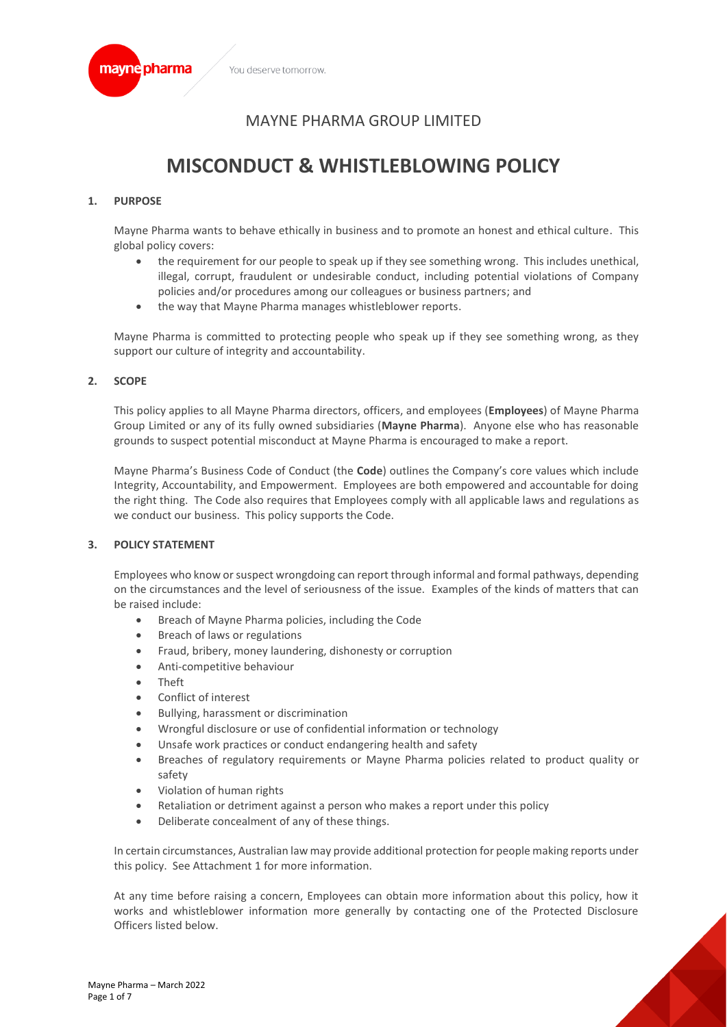

# MAYNE PHARMA GROUP LIMITED

# **MISCONDUCT & WHISTLEBLOWING POLICY**

# **1. PURPOSE**

Mayne Pharma wants to behave ethically in business and to promote an honest and ethical culture. This global policy covers:

- the requirement for our people to speak up if they see something wrong. This includes unethical, illegal, corrupt, fraudulent or undesirable conduct, including potential violations of Company policies and/or procedures among our colleagues or business partners; and
- the way that Mayne Pharma manages whistleblower reports.

Mayne Pharma is committed to protecting people who speak up if they see something wrong, as they support our culture of integrity and accountability.

#### **2. SCOPE**

This policy applies to all Mayne Pharma directors, officers, and employees (**Employees**) of Mayne Pharma Group Limited or any of its fully owned subsidiaries (**Mayne Pharma**). Anyone else who has reasonable grounds to suspect potential misconduct at Mayne Pharma is encouraged to make a report.

Mayne Pharma's Business Code of Conduct (the **Code**) outlines the Company's core values which include Integrity, Accountability, and Empowerment. Employees are both empowered and accountable for doing the right thing. The Code also requires that Employees comply with all applicable laws and regulations as we conduct our business. This policy supports the Code.

# **3. POLICY STATEMENT**

Employees who know or suspect wrongdoing can report through informal and formal pathways, depending on the circumstances and the level of seriousness of the issue. Examples of the kinds of matters that can be raised include:

- Breach of Mayne Pharma policies, including the Code
- Breach of laws or regulations
- Fraud, bribery, money laundering, dishonesty or corruption
- Anti-competitive behaviour
- Theft
- Conflict of interest
- Bullying, harassment or discrimination
- Wrongful disclosure or use of confidential information or technology
- Unsafe work practices or conduct endangering health and safety
- Breaches of regulatory requirements or Mayne Pharma policies related to product quality or safety
- Violation of human rights
- Retaliation or detriment against a person who makes a report under this policy
- Deliberate concealment of any of these things.

In certain circumstances, Australian law may provide additional protection for people making reports under this policy. See Attachment 1 for more information.

At any time before raising a concern, Employees can obtain more information about this policy, how it works and whistleblower information more generally by contacting one of the Protected Disclosure Officers listed below.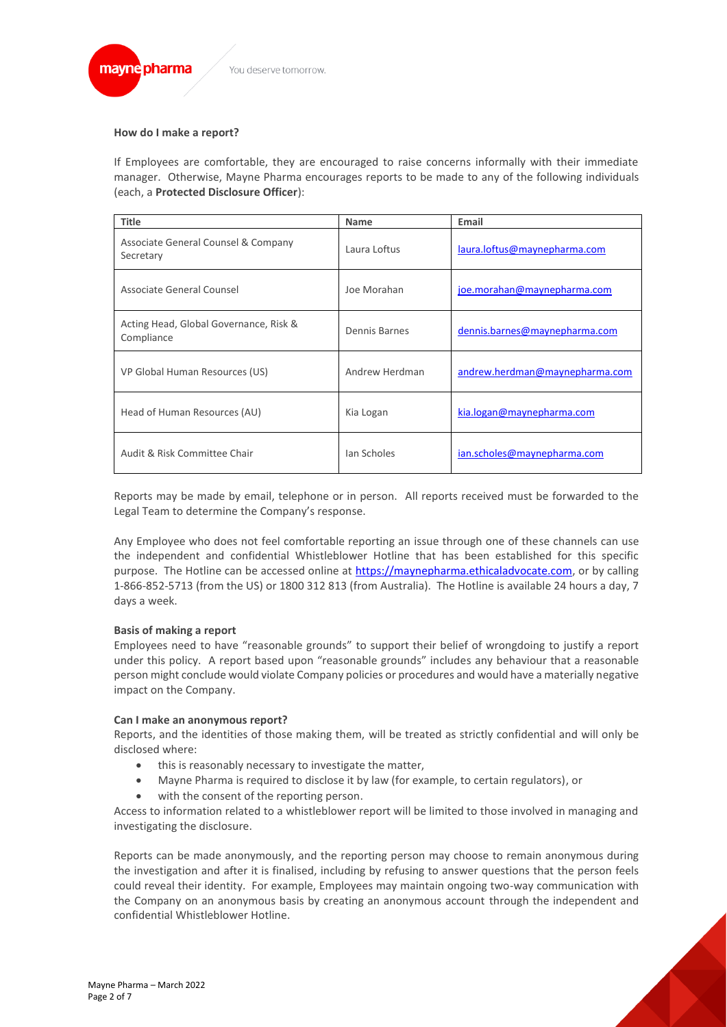

### **How do I make a report?**

If Employees are comfortable, they are encouraged to raise concerns informally with their immediate manager. Otherwise, Mayne Pharma encourages reports to be made to any of the following individuals (each, a **Protected Disclosure Officer**):

| <b>Title</b>                                         | <b>Name</b>    | Email                          |
|------------------------------------------------------|----------------|--------------------------------|
| Associate General Counsel & Company<br>Secretary     | Laura Loftus   | laura.loftus@maynepharma.com   |
| Associate General Counsel                            | Joe Morahan    | joe.morahan@maynepharma.com    |
| Acting Head, Global Governance, Risk &<br>Compliance | Dennis Barnes  | dennis.barnes@maynepharma.com  |
| VP Global Human Resources (US)                       | Andrew Herdman | andrew.herdman@maynepharma.com |
| Head of Human Resources (AU)                         | Kia Logan      | kia.logan@maynepharma.com      |
| Audit & Risk Committee Chair                         | Jan Scholes    | ian.scholes@maynepharma.com    |

Reports may be made by email, telephone or in person. All reports received must be forwarded to the Legal Team to determine the Company's response.

Any Employee who does not feel comfortable reporting an issue through one of these channels can use the independent and confidential Whistleblower Hotline that has been established for this specific purpose. The Hotline can be accessed online at [https://maynepharma.ethicaladvocate.com,](https://maynepharma.ethicaladvocate.com/) or by calling 1-866-852-5713 (from the US) or 1800 312 813 (from Australia). The Hotline is available 24 hours a day, 7 days a week.

# **Basis of making a report**

Employees need to have "reasonable grounds" to support their belief of wrongdoing to justify a report under this policy. A report based upon "reasonable grounds" includes any behaviour that a reasonable person might conclude would violate Company policies or procedures and would have a materially negative impact on the Company.

#### **Can I make an anonymous report?**

Reports, and the identities of those making them, will be treated as strictly confidential and will only be disclosed where:

- this is reasonably necessary to investigate the matter,
- Mayne Pharma is required to disclose it by law (for example, to certain regulators), or
- with the consent of the reporting person.

Access to information related to a whistleblower report will be limited to those involved in managing and investigating the disclosure.

Reports can be made anonymously, and the reporting person may choose to remain anonymous during the investigation and after it is finalised, including by refusing to answer questions that the person feels could reveal their identity. For example, Employees may maintain ongoing two-way communication with the Company on an anonymous basis by creating an anonymous account through the independent and confidential Whistleblower Hotline.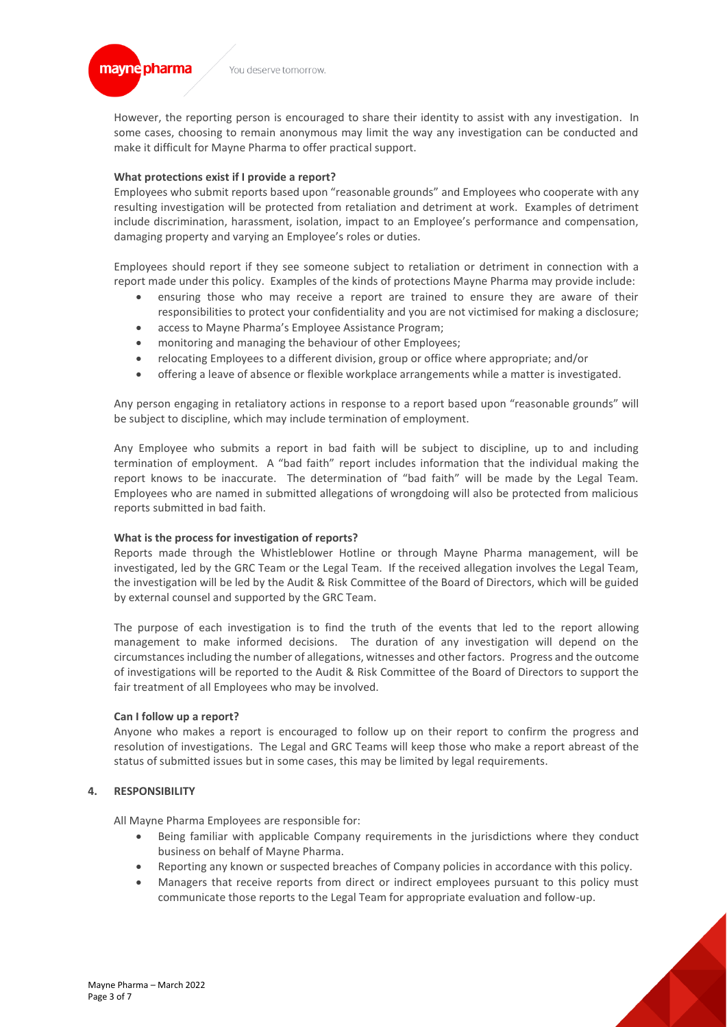

However, the reporting person is encouraged to share their identity to assist with any investigation. In some cases, choosing to remain anonymous may limit the way any investigation can be conducted and make it difficult for Mayne Pharma to offer practical support.

#### **What protections exist if I provide a report?**

Employees who submit reports based upon "reasonable grounds" and Employees who cooperate with any resulting investigation will be protected from retaliation and detriment at work. Examples of detriment include discrimination, harassment, isolation, impact to an Employee's performance and compensation, damaging property and varying an Employee's roles or duties.

Employees should report if they see someone subject to retaliation or detriment in connection with a report made under this policy. Examples of the kinds of protections Mayne Pharma may provide include:

- ensuring those who may receive a report are trained to ensure they are aware of their responsibilities to protect your confidentiality and you are not victimised for making a disclosure;
- access to Mayne Pharma's Employee Assistance Program;
- monitoring and managing the behaviour of other Employees;
- relocating Employees to a different division, group or office where appropriate; and/or
- offering a leave of absence or flexible workplace arrangements while a matter is investigated.

Any person engaging in retaliatory actions in response to a report based upon "reasonable grounds" will be subject to discipline, which may include termination of employment.

Any Employee who submits a report in bad faith will be subject to discipline, up to and including termination of employment. A "bad faith" report includes information that the individual making the report knows to be inaccurate. The determination of "bad faith" will be made by the Legal Team. Employees who are named in submitted allegations of wrongdoing will also be protected from malicious reports submitted in bad faith.

#### **What is the process for investigation of reports?**

Reports made through the Whistleblower Hotline or through Mayne Pharma management, will be investigated, led by the GRC Team or the Legal Team. If the received allegation involves the Legal Team, the investigation will be led by the Audit & Risk Committee of the Board of Directors, which will be guided by external counsel and supported by the GRC Team.

The purpose of each investigation is to find the truth of the events that led to the report allowing management to make informed decisions. The duration of any investigation will depend on the circumstances including the number of allegations, witnesses and other factors. Progress and the outcome of investigations will be reported to the Audit & Risk Committee of the Board of Directors to support the fair treatment of all Employees who may be involved.

#### **Can I follow up a report?**

Anyone who makes a report is encouraged to follow up on their report to confirm the progress and resolution of investigations. The Legal and GRC Teams will keep those who make a report abreast of the status of submitted issues but in some cases, this may be limited by legal requirements.

# **4. RESPONSIBILITY**

All Mayne Pharma Employees are responsible for:

- Being familiar with applicable Company requirements in the jurisdictions where they conduct business on behalf of Mayne Pharma.
- Reporting any known or suspected breaches of Company policies in accordance with this policy.
- Managers that receive reports from direct or indirect employees pursuant to this policy must communicate those reports to the Legal Team for appropriate evaluation and follow-up.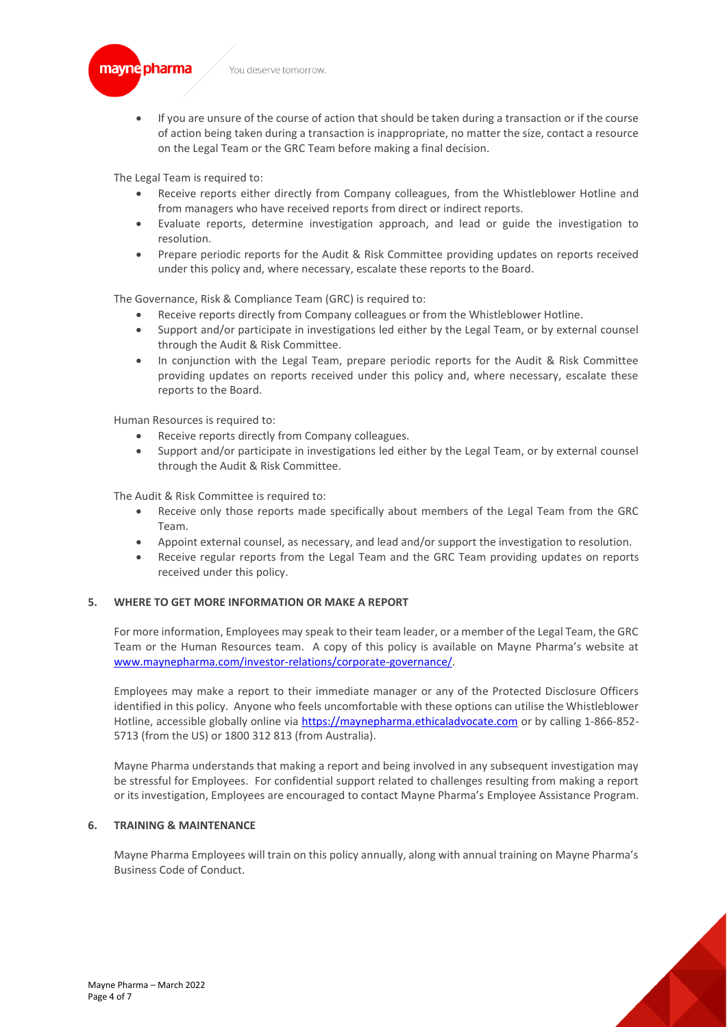

• If you are unsure of the course of action that should be taken during a transaction or if the course of action being taken during a transaction is inappropriate, no matter the size, contact a resource on the Legal Team or the GRC Team before making a final decision.

The Legal Team is required to:

- Receive reports either directly from Company colleagues, from the Whistleblower Hotline and from managers who have received reports from direct or indirect reports.
- Evaluate reports, determine investigation approach, and lead or guide the investigation to resolution.
- Prepare periodic reports for the Audit & Risk Committee providing updates on reports received under this policy and, where necessary, escalate these reports to the Board.

The Governance, Risk & Compliance Team (GRC) is required to:

- Receive reports directly from Company colleagues or from the Whistleblower Hotline.
- Support and/or participate in investigations led either by the Legal Team, or by external counsel through the Audit & Risk Committee.
- In conjunction with the Legal Team, prepare periodic reports for the Audit & Risk Committee providing updates on reports received under this policy and, where necessary, escalate these reports to the Board.

Human Resources is required to:

- Receive reports directly from Company colleagues.
- Support and/or participate in investigations led either by the Legal Team, or by external counsel through the Audit & Risk Committee.

The Audit & Risk Committee is required to:

- Receive only those reports made specifically about members of the Legal Team from the GRC Team.
- Appoint external counsel, as necessary, and lead and/or support the investigation to resolution.
- Receive regular reports from the Legal Team and the GRC Team providing updates on reports received under this policy.

#### **5. WHERE TO GET MORE INFORMATION OR MAKE A REPORT**

For more information, Employees may speak to their team leader, or a member of the Legal Team, the GRC Team or the Human Resources team. A copy of this policy is available on Mayne Pharma's website at [www.maynepharma.com/investor-relations/corporate-governance/.](http://www.maynepharma.com/investor-relations/corporate-governance/) 

Employees may make a report to their immediate manager or any of the Protected Disclosure Officers identified in this policy. Anyone who feels uncomfortable with these options can utilise the Whistleblower Hotline, accessible globally online via [https://maynepharma.ethicaladvocate.com](https://maynepharma.ethicaladvocate.com/) or by calling 1-866-852- 5713 (from the US) or 1800 312 813 (from Australia).

Mayne Pharma understands that making a report and being involved in any subsequent investigation may be stressful for Employees. For confidential support related to challenges resulting from making a report or its investigation, Employees are encouraged to contact Mayne Pharma's Employee Assistance Program.

#### **6. TRAINING & MAINTENANCE**

Mayne Pharma Employees will train on this policy annually, along with annual training on Mayne Pharma's Business Code of Conduct.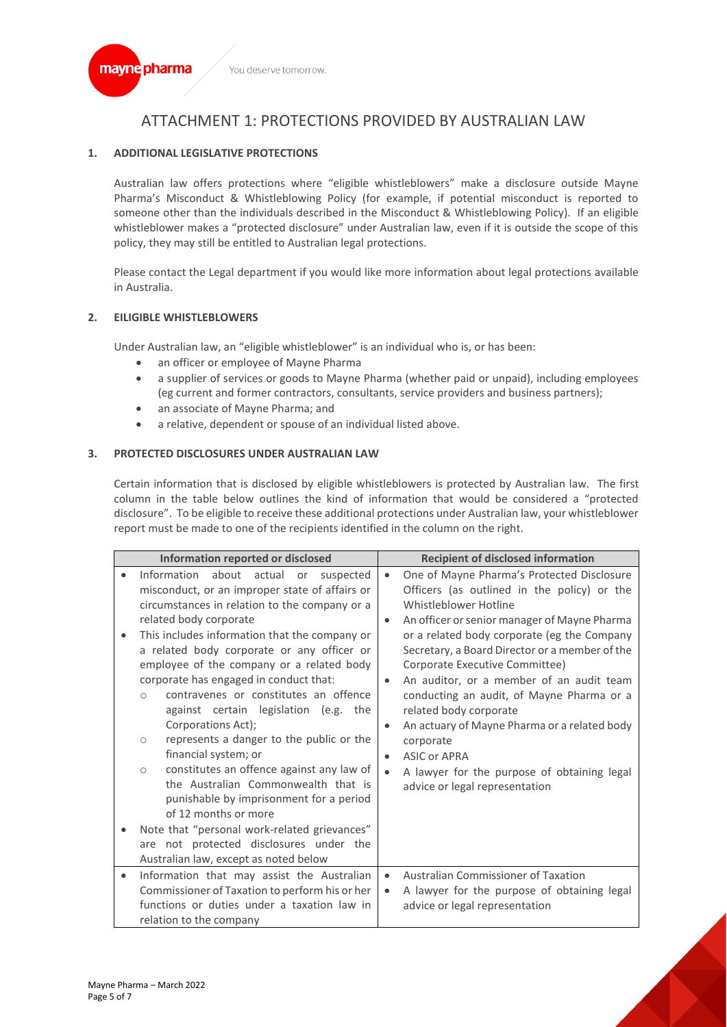

# ATTACHMENT 1: PROTECTIONS PROVIDED BY AUSTRALIAN LAW

# **1. ADDITIONAL LEGISLATIVE PROTECTIONS**

Australian law offers protections where "eligible whistleblowers" make a disclosure outside Mayne Pharma's Misconduct & Whistleblowing Policy (for example, if potential misconduct is reported to someone other than the individuals described in the Misconduct & Whistleblowing Policy). If an eligible whistleblower makes a "protected disclosure" under Australian law, even if it is outside the scope of this policy, they may still be entitled to Australian legal protections.

Please contact the Legal department if you would like more information about legal protections available in Australia.

# **2. EILIGIBLE WHISTLEBLOWERS**

Under Australian law, an "eligible whistleblower" is an individual who is, or has been:

- an officer or employee of Mayne Pharma
- a supplier of services or goods to Mayne Pharma (whether paid or unpaid), including employees (eg current and former contractors, consultants, service providers and business partners);
- an associate of Mayne Pharma; and
- a relative, dependent or spouse of an individual listed above.

# **3. PROTECTED DISCLOSURES UNDER AUSTRALIAN LAW**

Certain information that is disclosed by eligible whistleblowers is protected by Australian law. The first column in the table below outlines the kind of information that would be considered a "protected disclosure". To be eligible to receive these additional protections under Australian law, your whistleblower report must be made to one of the recipients identified in the column on the right.

| Information reported or disclosed |                                                                                                                                                                                                                                                                                                                                                                                                                                                                                                                                                                                                                                                                                                                                                                                                                            |                                                  | <b>Recipient of disclosed information</b>                                                                                                                                                                                                                                                                                                                                                                                                                                                                                                                                              |  |
|-----------------------------------|----------------------------------------------------------------------------------------------------------------------------------------------------------------------------------------------------------------------------------------------------------------------------------------------------------------------------------------------------------------------------------------------------------------------------------------------------------------------------------------------------------------------------------------------------------------------------------------------------------------------------------------------------------------------------------------------------------------------------------------------------------------------------------------------------------------------------|--------------------------------------------------|----------------------------------------------------------------------------------------------------------------------------------------------------------------------------------------------------------------------------------------------------------------------------------------------------------------------------------------------------------------------------------------------------------------------------------------------------------------------------------------------------------------------------------------------------------------------------------------|--|
|                                   | Information about actual or<br>suspected<br>misconduct, or an improper state of affairs or<br>circumstances in relation to the company or a<br>related body corporate<br>This includes information that the company or<br>a related body corporate or any officer or<br>employee of the company or a related body<br>corporate has engaged in conduct that:<br>contravenes or constitutes an offence<br>$\circ$<br>against certain legislation (e.g. the<br>Corporations Act);<br>represents a danger to the public or the<br>$\circ$<br>financial system; or<br>constitutes an offence against any law of<br>$\circ$<br>the Australian Commonwealth that is<br>punishable by imprisonment for a period<br>of 12 months or more<br>Note that "personal work-related grievances"<br>are not protected disclosures under the | $\bullet$<br>$\bullet$<br>$\bullet$<br>$\bullet$ | One of Mayne Pharma's Protected Disclosure<br>Officers (as outlined in the policy) or the<br>Whistleblower Hotline<br>An officer or senior manager of Mayne Pharma<br>or a related body corporate (eg the Company<br>Secretary, a Board Director or a member of the<br>Corporate Executive Committee)<br>An auditor, or a member of an audit team<br>conducting an audit, of Mayne Pharma or a<br>related body corporate<br>An actuary of Mayne Pharma or a related body<br>corporate<br>ASIC or APRA<br>A lawyer for the purpose of obtaining legal<br>advice or legal representation |  |
|                                   | Australian law, except as noted below                                                                                                                                                                                                                                                                                                                                                                                                                                                                                                                                                                                                                                                                                                                                                                                      |                                                  |                                                                                                                                                                                                                                                                                                                                                                                                                                                                                                                                                                                        |  |
|                                   | Information that may assist the Australian<br>Commissioner of Taxation to perform his or her<br>functions or duties under a taxation law in<br>relation to the company                                                                                                                                                                                                                                                                                                                                                                                                                                                                                                                                                                                                                                                     |                                                  | Australian Commissioner of Taxation<br>A lawyer for the purpose of obtaining legal<br>advice or legal representation                                                                                                                                                                                                                                                                                                                                                                                                                                                                   |  |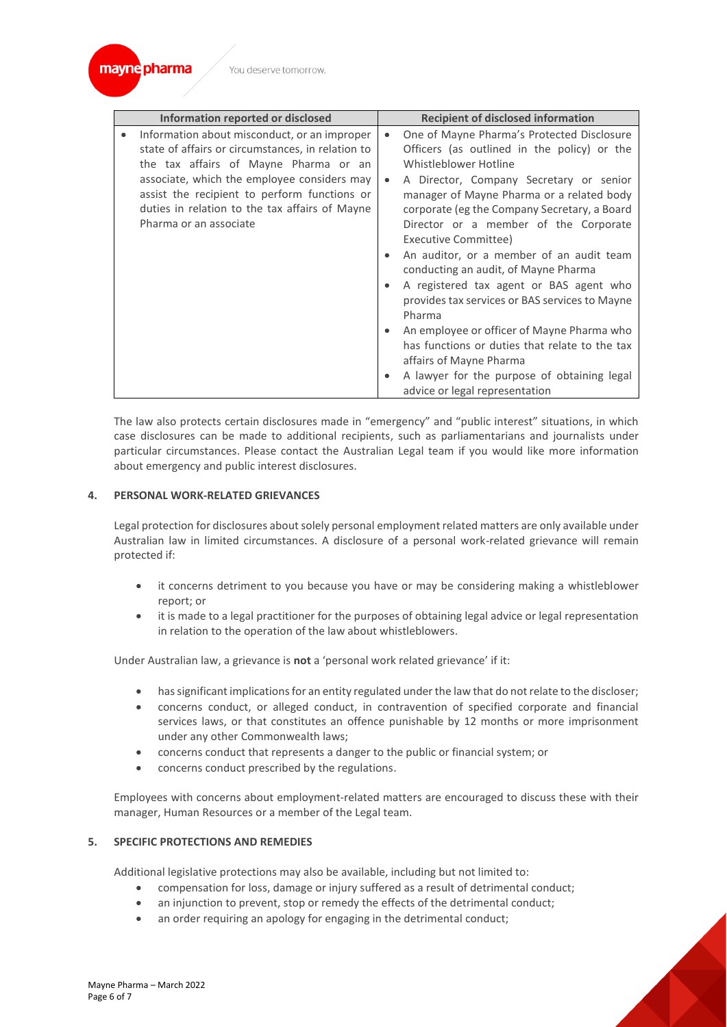

|  | Information reported or disclosed                                                                                                                                                                                                                                                                                     |                                            | <b>Recipient of disclosed information</b>                                                                                                                                                                                                                                                                                                                                                                                                                                                                                                                                                                                                                                                        |  |  |
|--|-----------------------------------------------------------------------------------------------------------------------------------------------------------------------------------------------------------------------------------------------------------------------------------------------------------------------|--------------------------------------------|--------------------------------------------------------------------------------------------------------------------------------------------------------------------------------------------------------------------------------------------------------------------------------------------------------------------------------------------------------------------------------------------------------------------------------------------------------------------------------------------------------------------------------------------------------------------------------------------------------------------------------------------------------------------------------------------------|--|--|
|  | Information about misconduct, or an improper<br>state of affairs or circumstances, in relation to<br>the tax affairs of Mayne Pharma or an<br>associate, which the employee considers may<br>assist the recipient to perform functions or<br>duties in relation to the tax affairs of Mayne<br>Pharma or an associate | $\bullet$<br>$\bullet$<br>٠<br>٠<br>٠<br>٠ | One of Mayne Pharma's Protected Disclosure<br>Officers (as outlined in the policy) or the<br>Whistleblower Hotline<br>A Director, Company Secretary or senior<br>manager of Mayne Pharma or a related body<br>corporate (eg the Company Secretary, a Board<br>Director or a member of the Corporate<br>Executive Committee)<br>An auditor, or a member of an audit team<br>conducting an audit, of Mayne Pharma<br>A registered tax agent or BAS agent who<br>provides tax services or BAS services to Mayne<br>Pharma<br>An employee or officer of Mayne Pharma who<br>has functions or duties that relate to the tax<br>affairs of Mayne Pharma<br>A lawyer for the purpose of obtaining legal |  |  |
|  |                                                                                                                                                                                                                                                                                                                       |                                            | advice or legal representation                                                                                                                                                                                                                                                                                                                                                                                                                                                                                                                                                                                                                                                                   |  |  |

The law also protects certain disclosures made in "emergency" and "public interest" situations, in which case disclosures can be made to additional recipients, such as parliamentarians and journalists under particular circumstances. Please contact the Australian Legal team if you would like more information about emergency and public interest disclosures.

# **4. PERSONAL WORK-RELATED GRIEVANCES**

Legal protection for disclosures about solely personal employment related matters are only available under Australian law in limited circumstances. A disclosure of a personal work-related grievance will remain protected if:

- it concerns detriment to you because you have or may be considering making a whistleblower report; or
- it is made to a legal practitioner for the purposes of obtaining legal advice or legal representation in relation to the operation of the law about whistleblowers.

Under Australian law, a grievance is **not** a 'personal work related grievance' if it:

- has significant implications for an entity regulated under the law that do not relate to the discloser;
- concerns conduct, or alleged conduct, in contravention of specified corporate and financial services laws, or that constitutes an offence punishable by 12 months or more imprisonment under any other Commonwealth laws;
- concerns conduct that represents a danger to the public or financial system; or
- concerns conduct prescribed by the regulations.

Employees with concerns about employment-related matters are encouraged to discuss these with their manager, Human Resources or a member of the Legal team.

# **5. SPECIFIC PROTECTIONS AND REMEDIES**

Additional legislative protections may also be available, including but not limited to:

- compensation for loss, damage or injury suffered as a result of detrimental conduct;
- an injunction to prevent, stop or remedy the effects of the detrimental conduct;
- an order requiring an apology for engaging in the detrimental conduct;